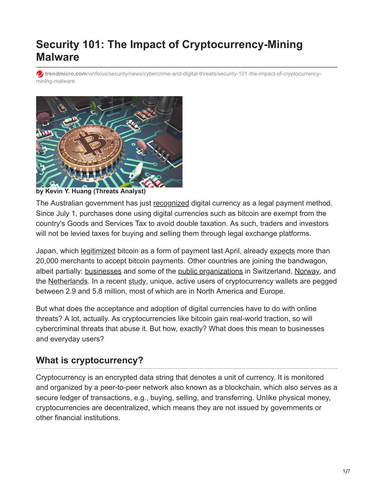# **Security 101: The Impact of Cryptocurrency-Mining Malware**

**trendmicro.com**[/vinfo/us/security/news/cybercrime-and-digital-threats/security-101-the-impact-of-cryptocurrency](https://www.trendmicro.com/vinfo/us/security/news/cybercrime-and-digital-threats/security-101-the-impact-of-cryptocurrency-mining-malware)mining-malware



**by Kevin Y. Huang (Threats Analyst)**

The Australian government has just [recognized](http://www.budget.gov.au/2017-18/content/glossies/factsheets/html/FS_innovation.htm) digital currency as a legal payment method. Since July 1, purchases done using digital currencies such as bitcoin are exempt from the country's Goods and Services Tax to avoid double taxation. As such, traders and investors will not be levied taxes for buying and selling them through legal exchange platforms.

Japan, which [legitimized](http://www.businessinsider.com/bitcoin-price-spikes-as-japan-recognizes-it-as-a-legal-payment-method-2017-4) bitcoin as a form of payment last April, already [expects](http://asia.nikkei.com/Business/Trends/Bitcoin-seen-spreading-to-20-000-Japanese-merchants) more than 20,000 merchants to accept bitcoin payments. Other countries are joining the bandwagon, albeit partially: [businesses](http://www.ey.com/ch/en/newsroom/news-releases/news-release-ey-switzerland-accepts-bitcoins-for-payment-of-its-services) and some of the [public organizations](http://www.reuters.com/article/us-swiss-fintech-cryptovalley-idUSKCN11E0L9) in Switzerland, [Norway,](https://news.bitcoin.com/the-libertarian-city-liberstad-in-norway-is-moving-forward-using-bitcoin-as-primary-currency/) and the [Netherlands.](https://www.technologyreview.com/s/534011/a-weekend-in-bitcoin-city-arnhem-the-netherlands/) In a recent [study](https://www.jbs.cam.ac.uk/fileadmin/user_upload/research/centres/alternative-finance/downloads/2017-global-cryptocurrency-benchmarking-study.pdf), unique, active users of cryptocurrency wallets are pegged between 2.9 and 5.8 million, most of which are in North America and Europe.

But what does the acceptance and adoption of digital currencies have to do with online threats? A lot, actually. As cryptocurrencies like bitcoin gain real-world traction, so will cybercriminal threats that abuse it. But how, exactly? What does this mean to businesses and everyday users?

# **What is cryptocurrency?**

Cryptocurrency is an encrypted data string that denotes a unit of currency. It is monitored and organized by a peer-to-peer network also known as a blockchain, which also serves as a secure ledger of transactions, e.g., buying, selling, and transferring. Unlike physical money, cryptocurrencies are decentralized, which means they are not issued by governments or other financial institutions.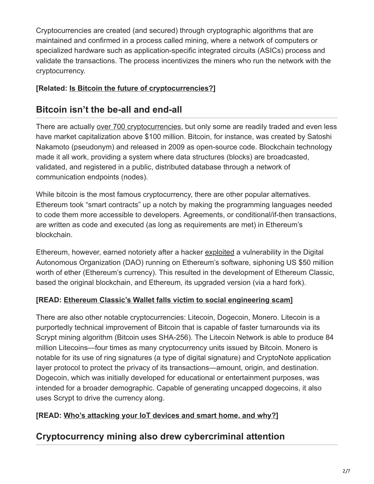Cryptocurrencies are created (and secured) through cryptographic algorithms that are maintained and confirmed in a process called mining, where a network of computers or specialized hardware such as application-specific integrated circuits (ASICs) process and validate the transactions. The process incentivizes the miners who run the network with the cryptocurrency.

### **[Related: [Is Bitcoin the future of cryptocurrencies?](http://blog.trendmicro.com/trendlabs-security-intelligence/will-bitcoin-succeed/)]**

# **Bitcoin isn't the be-all and end-all**

There are actually [over 700 cryptocurrencies](https://coinmarketcap.com/currencies/views/all/), but only some are readily traded and even less have market capitalization above \$100 million. Bitcoin, for instance, was created by Satoshi Nakamoto (pseudonym) and released in 2009 as open-source code. Blockchain technology made it all work, providing a system where data structures (blocks) are broadcasted, validated, and registered in a public, distributed database through a network of communication endpoints (nodes).

While bitcoin is the most famous cryptocurrency, there are other popular alternatives. Ethereum took "smart contracts" up a notch by making the programming languages needed to code them more accessible to developers. Agreements, or conditional/if-then transactions, are written as code and executed (as long as requirements are met) in Ethereum's blockchain.

Ethereum, however, earned notoriety after a hacker [exploited](https://www.wired.com/2016/06/50-million-hack-just-showed-dao-human/) a vulnerability in the Digital Autonomous Organization (DAO) running on Ethereum's software, siphoning US \$50 million worth of ether (Ethereum's currency). This resulted in the development of Ethereum Classic, based the original blockchain, and Ethereum, its upgraded version (via a hard fork).

### **[READ: [Ethereum Classic's Wallet falls victim to social engineering scam\]](https://www.trendmicro.com/vinfo/us/security/news/cybercrime-and-digital-threats/ethereum-classic-wallet-a-victim-of-social-engineering)**

There are also other notable cryptocurrencies: Litecoin, Dogecoin, Monero. Litecoin is a purportedly technical improvement of Bitcoin that is capable of faster turnarounds via its Scrypt mining algorithm (Bitcoin uses SHA-256). The Litecoin Network is able to produce 84 million Litecoins—four times as many cryptocurrency units issued by Bitcoin. Monero is notable for its use of ring signatures (a type of digital signature) and CryptoNote application layer protocol to protect the privacy of its transactions—amount, origin, and destination. Dogecoin, which was initially developed for educational or entertainment purposes, was intended for a broader demographic. Capable of generating uncapped dogecoins, it also uses Scrypt to drive the currency along.

### **[READ: [Who's attacking your IoT devices and smart home, and why?\]](https://www.trendmicro.com/vinfo/us/security/news/internet-of-things/securing-smart-homes#TheUsualSuspects)**

# **Cryptocurrency mining also drew cybercriminal attention**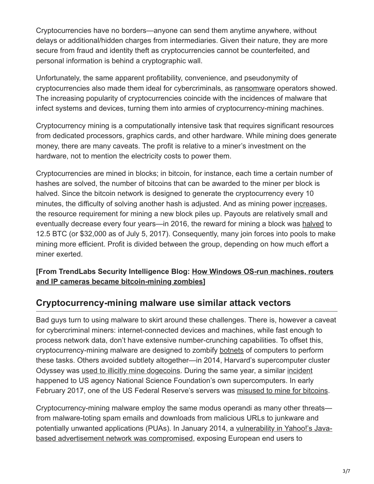Cryptocurrencies have no borders—anyone can send them anytime anywhere, without delays or additional/hidden charges from intermediaries. Given their nature, they are more secure from fraud and identity theft as cryptocurrencies cannot be counterfeited, and personal information is behind a cryptographic wall.

Unfortunately, the same apparent profitability, convenience, and pseudonymity of cryptocurrencies also made them ideal for cybercriminals, as [ransomware](https://www.trendmicro.com/vinfo/us/security/definition/ransomware) operators showed. The increasing popularity of cryptocurrencies coincide with the incidences of malware that infect systems and devices, turning them into armies of cryptocurrency-mining machines.

Cryptocurrency mining is a computationally intensive task that requires significant resources from dedicated processors, graphics cards, and other hardware. While mining does generate money, there are many caveats. The profit is relative to a miner's investment on the hardware, not to mention the electricity costs to power them.

Cryptocurrencies are mined in blocks; in bitcoin, for instance, each time a certain number of hashes are solved, the number of bitcoins that can be awarded to the miner per block is halved. Since the bitcoin network is designed to generate the cryptocurrency every 10 minutes, the difficulty of solving another hash is adjusted. And as mining power [increases](https://bitcoin.org/en/developer-guide#proof-of-work), the resource requirement for mining a new block piles up. Payouts are relatively small and eventually decrease every four years—in 2016, the reward for mining a block was [halved](http://www.reuters.com/article/us-markets-bitcoin-mining-idUSKCN0ZO2CW) to 12.5 BTC (or \$32,000 as of July 5, 2017). Consequently, many join forces into pools to make mining more efficient. Profit is divided between the group, depending on how much effort a miner exerted.

#### **[\[From TrendLabs Security Intelligence Blog: How Windows OS-run machines, routers](http://blog.trendmicro.com/trendlabs-security-intelligence/home-routers-mitigating-attacks-that-turn-them-to-zombies/) and IP cameras became bitcoin-mining zombies]**

# **Cryptocurrency-mining malware use similar attack vectors**

Bad guys turn to using malware to skirt around these challenges. There is, however a caveat for cybercriminal miners: internet-connected devices and machines, while fast enough to process network data, don't have extensive number-crunching capabilities. To offset this, cryptocurrency-mining malware are designed to zombify [botnets](https://www.trendmicro.com/vinfo/us/security/definition/botnet) of computers to perform these tasks. Others avoided subtlety altogether—in 2014, Harvard's supercomputer cluster Odyssey was [used to illicitly mine dogecoins](http://www.thecrimson.com/article/2014/2/20/harvard-odyssey-dogecoin/). During the same year, a similar [incident](http://www.bbc.com/news/technology-27779030) happened to US agency National Science Foundation's own supercomputers. In early February 2017, one of the US Federal Reserve's servers was [misused to mine for bitcoins.](http://www.ibtimes.com/bitcoin-mining-employee-federal-reserve-fined-suspended-using-government-server-mine-2484185)

Cryptocurrency-mining malware employ the same modus operandi as many other threats from malware-toting spam emails and downloads from malicious URLs to junkware and [potentially unwanted applications \(PUAs\). In January 2014, a vulnerability in Yahoo!'s Java](http://www.bbc.com/news/technology-25653664)based advertisement network was compromised, exposing European end users to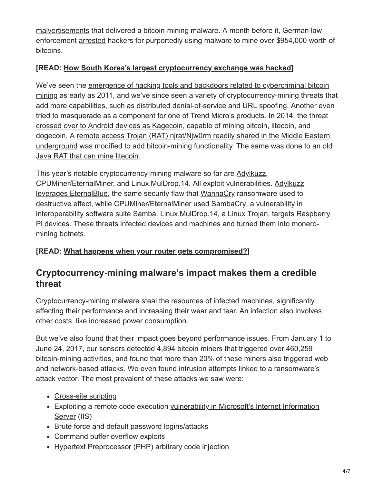[malvertisements](https://www.trendmicro.com/vinfo/us/security/definition/malvertisement) that delivered a bitcoin-mining malware. A month before it, German law enforcement [arrested](https://www.scmagazine.com/german-police-arrest-bitcoin-hackers/article/543183/) hackers for purportedly using malware to mine over \$954,000 worth of bitcoins.

### **[READ: [How South Korea's largest cryptocurrency exchange was hacked\]](https://www.trendmicro.com/vinfo/us/security/news/cybercrime-and-digital-threats/-south-korean-cryptocurrency-exchange-bithumb-hacked/)**

We've seen the emergence of hacking tools and backdoors related to cybercriminal bitcoin [mining as early as 2011, and we've since seen a variety of cryptocurrency-mining threats th](https://www.trendmicro.com/vinfo/us/threat-encyclopedia/web-attack/93/cybercriminals-unleash-bitcoinmining-malware)at add more capabilities, such as [distributed denial-of-service](http://blog.trendmicro.com/trendlabs-security-intelligence/bitcoin-mining-botnet-found-with-ddos-capabilities/) and [URL spoofing.](http://blog.trendmicro.com/trendlabs-security-intelligence/malicious-links-on-twitter-lead-to-bitcoin-mining/) Another even tried to [masquerade as a component for one of Trend Micro's products.](http://blog.trendmicro.com/trendlabs-security-intelligence/trojan-disguised-as-trend-micro-component-drops-bitcoin-mining-malware/) In 2014, the threat [crossed over to Android devices as Kagecoin](http://blog.trendmicro.com/trendlabs-security-intelligence/mobile-malware-mines-dogecoins-and-litecoins-for-bitcoin-payout/), capable of mining bitcoin, litecoin, and [dogecoin. A remote access Trojan \(RAT\) njrat/Njw0rm readily shared in the Middle Eastern](http://blog.trendmicro.com/trendlabs-security-intelligence/new-rats-emerge-from-leaked-njw0rm-source-code/) underground was modified to add bitcoin-mining functionality. The same was done to an old [Java RAT that can mine litecoin](http://blog.trendmicro.com/trendlabs-security-intelligence/old-java-rat-updates-includes-litecoin-plugin/).

This year's notable cryptocurrency-mining malware so far are [Adylkuzz](https://www.proofpoint.com/us/threat-insight/post/adylkuzz-cryptocurrency-mining-malware-spreading-for-weeks-via-eternalblue-doublepulsar), [CPUMiner/EternalMiner, and Linux.MulDrop.14. All exploit vulnerabilities. Adylkuzz](http://blog.trendmicro.com/trendlabs-security-intelligence/wannacry-uiwix-ransomware-monero-mining-malware-follow-suit/) leverages EternalBlue, the same security flaw that [WannaCry](http://blog.trendmicro.com/trendlabs-security-intelligence/massive-wannacrywcry-ransomware-attack-hits-various-countries/) ransomware used to destructive effect, while CPUMiner/EternalMiner used [SambaCry,](http://www.securityweek.com/sambacry-flaw-exploited-deliver-cryptocurrency-miner) a vulnerability in interoperability software suite Samba. Linux.MulDrop.14, a Linux Trojan, [targets](http://www.zdnet.com/article/linux-malware-enslaves-raspberry-pi-to-mine-cryptocurrency/) Raspberry Pi devices. These threats infected devices and machines and turned them into moneromining botnets.

### **[READ: [What happens when your router gets compromised?](https://www.trendmicro.com/vinfo/us/security/news/internet-of-things/protect-home-network-securing-router)]**

## **Cryptocurrency-mining malware's impact makes them a credible threat**

Cryptocurrency-mining malware steal the resources of infected machines, significantly affecting their performance and increasing their wear and tear. An infection also involves other costs, like increased power consumption.

But we've also found that their impact goes beyond performance issues. From January 1 to June 24, 2017, our sensors detected 4,894 bitcoin miners that triggered over 460,259 bitcoin-mining activities, and found that more than 20% of these miners also triggered web and network-based attacks. We even found intrusion attempts linked to a ransomware's attack vector. The most prevalent of these attacks we saw were:

- [Cross-site scripting](https://www.trendmicro.com/vinfo/us/security/definition/cross-site-scripting-(xss))
- [Exploiting a remote code execution vulnerability in Microsoft's Internet Information](http://blog.trendmicro.com/trendlabs-security-intelligence/iis-6-0-vulnerability-leads-code-execution/) Server (IIS)
- Brute force and default password logins/attacks
- Command buffer overflow exploits
- Hypertext Preprocessor (PHP) arbitrary code injection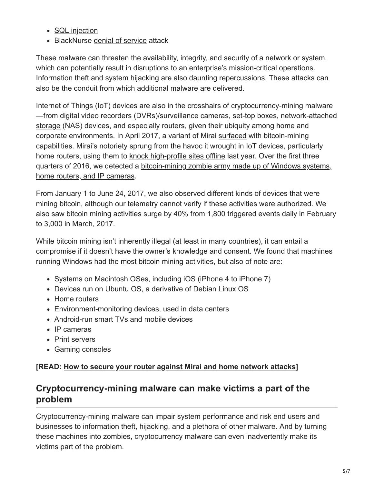- [SQL injection](https://www.trendmicro.com/vinfo/us/security/definition/sql-injection)
- BlackNurse [denial of service](https://www.trendmicro.com/vinfo/us/security/definition/denial-of-service-(dos)) attack

These malware can threaten the availability, integrity, and security of a network or system, which can potentially result in disruptions to an enterprise's mission-critical operations. Information theft and system hijacking are also daunting repercussions. These attacks can also be the conduit from which additional malware are delivered.

[Internet of Things](https://www.trendmicro.com/vinfo/us/security/threat-intelligence-center/internet-of-things/) (IoT) devices are also in the crosshairs of cryptocurrency-mining malware [—from](http://www.computerworld.com/article/3119109/security/thousands-of-seagate-nas-boxes-host-cryptocurrency-mining-malware.html) [digital video recorders](https://arstechnica.com/security/2014/05/infecting-dvrs-with-bitcoin-mining-malware-even-easier-you-suspected/) [\(DVRs\)/surveillance cameras,](http://www.computerworld.com/article/3119109/security/thousands-of-seagate-nas-boxes-host-cryptocurrency-mining-malware.html) [set-top boxe](https://www.wired.com/2014/01/spime-watch-linux-darlloz-internet-things-worm/)[s, network-attached](http://www.computerworld.com/article/3119109/security/thousands-of-seagate-nas-boxes-host-cryptocurrency-mining-malware.html) storage (NAS) devices, and especially routers, given their ubiquity among home and corporate environments. In April 2017, a variant of Mirai [surfaced](http://www.newsweek.com/botnet-hacking-devices-mine-bitcoin-582404) with bitcoin-mining capabilities. Mirai's notoriety sprung from the havoc it wrought in IoT devices, particularly home routers, using them to [knock high-profile sites offline](https://www.trendmicro.com/vinfo/us/security/news/cyber-attacks/a-rundown-of-the-biggest-cybersecurity-incidents-of-2016#WorstTroublemakerMirai) last year. Over the first three [quarters of 2016, we detected a bitcoin-mining zombie army made up of Windows systems,](http://blog.trendmicro.com/trendlabs-security-intelligence/home-routers-mitigating-attacks-that-turn-them-to-zombies/) home routers, and IP cameras.

From January 1 to June 24, 2017, we also observed different kinds of devices that were mining bitcoin, although our telemetry cannot verify if these activities were authorized. We also saw bitcoin mining activities surge by 40% from 1,800 triggered events daily in February to 3,000 in March, 2017.

While bitcoin mining isn't inherently illegal (at least in many countries), it can entail a compromise if it doesn't have the owner's knowledge and consent. We found that machines running Windows had the most bitcoin mining activities, but also of note are:

- Systems on Macintosh OSes, including iOS (iPhone 4 to iPhone 7)
- Devices run on Ubuntu OS, a derivative of Debian Linux OS
- Home routers
- Environment-monitoring devices, used in data centers
- Android-run smart TVs and mobile devices
- IP cameras
- Print servers
- Gaming consoles

### **[READ: [How to secure your router against Mirai and home network attacks](https://www.trendmicro.com/vinfo/us/security/news/internet-of-things/securing-routers-against-mirai-home-network-attacks)]**

## **Cryptocurrency-mining malware can make victims a part of the problem**

Cryptocurrency-mining malware can impair system performance and risk end users and businesses to information theft, hijacking, and a plethora of other malware. And by turning these machines into zombies, cryptocurrency malware can even inadvertently make its victims part of the problem.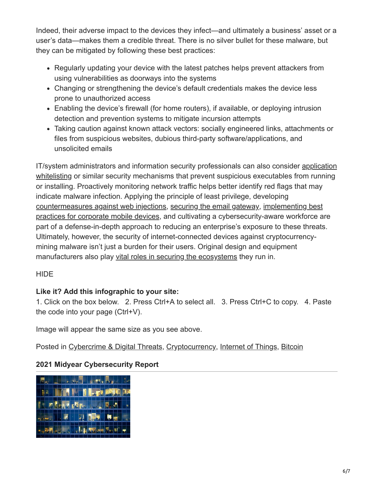Indeed, their adverse impact to the devices they infect—and ultimately a business' asset or a user's data—makes them a credible threat. There is no silver bullet for these malware, but they can be mitigated by following these best practices:

- Regularly updating your device with the latest patches helps prevent attackers from using vulnerabilities as doorways into the systems
- Changing or strengthening the device's default credentials makes the device less prone to unauthorized access
- Enabling the device's firewall (for home routers), if available, or deploying intrusion detection and prevention systems to mitigate incursion attempts
- Taking caution against known attack vectors: socially engineered links, attachments or files from suspicious websites, dubious third-party software/applications, and unsolicited emails

[IT/system administrators and information security professionals can also consider application](https://www.trendmicro.com/en_us/business/products/user-protection/sps/endpoint/endpoint-application-control.html) whitelisting or similar security mechanisms that prevent suspicious executables from running or installing. Proactively monitoring network traffic helps better identify red flags that may indicate malware infection. Applying the principle of least privilege, developing [countermeasures against web injections](https://www.trendmicro.com/vinfo/us/security/news/cybercrime-and-digital-threats/infosec-guide-web-injections), [securing the email gateway](https://www.trendmicro.com/vinfo/us/security/news/cybercrime-and-digital-threats/infosec-guide-email-threats), implementing best [practices for corporate mobile devices, and cultivating a cybersecurity-aware workforce a](https://www.trendmicro.com/vinfo/us/security/news/cybercrime-and-digital-threats/infosec-guide-email-threats)re part of a defense-in-depth approach to reducing an enterprise's exposure to these threats. Ultimately, however, the security of internet-connected devices against cryptocurrencymining malware isn't just a burden for their users. Original design and equipment manufacturers also play [vital roles in securing the ecosystems](http://blog.trendmicro.com/trendlabs-security-intelligence/internet-things-ecosystem-broken-fix/) they run in.

#### **HIDE**

#### **Like it? Add this infographic to your site:**

1. Click on the box below. 2. Press Ctrl+A to select all. 3. Press Ctrl+C to copy. 4. Paste the code into your page (Ctrl+V).

Image will appear the same size as you see above.

Posted in [Cybercrime & Digital Threats,](https://www.trendmicro.com/vinfo/us/security/news/cybercrime-and-digital-threats) [Cryptocurrency,](https://www.trendmicro.com/vinfo/us/security/news/cryptocurrency) [Internet of Things,](https://www.trendmicro.com/vinfo/us/security/news/internet-of-things) [Bitcoin](https://www.trendmicro.com/vinfo/us/security/news/bitcoin)

### **2021 Midyear Cybersecurity Report**